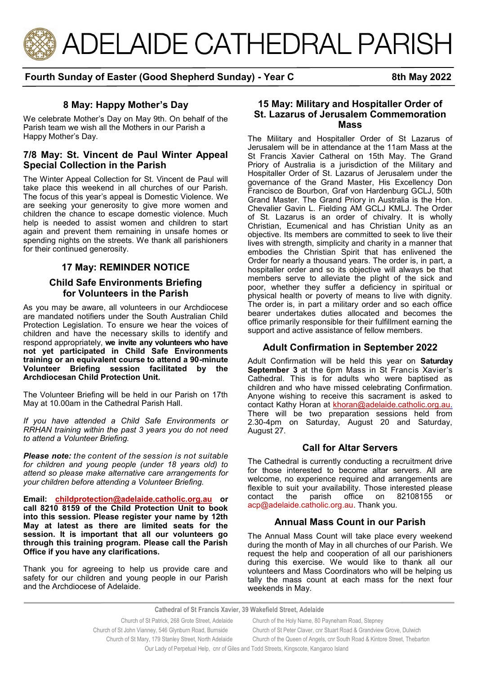

# **Fourth Sunday of Easter (Good Shepherd Sunday) - Year C 8th May 2022**

## **8 May: Happy Mother's Day**

We celebrate Mother's Day on May 9th. On behalf of the Parish team we wish all the Mothers in our Parish a Happy Mother's Day.

## **7/8 May: St. Vincent de Paul Winter Appeal Special Collection in the Parish**

The Winter Appeal Collection for St. Vincent de Paul will take place this weekend in all churches of our Parish. The focus of this year's appeal is Domestic Violence. We are seeking your generosity to give more women and children the chance to escape domestic violence. Much help is needed to assist women and children to start again and prevent them remaining in unsafe homes or spending nights on the streets. We thank all parishioners for their continued generosity.

# **17 May: REMINDER NOTICE**

## **Child Safe Environments Briefing for Volunteers in the Parish**

As you may be aware, all volunteers in our Archdiocese are mandated notifiers under the South Australian Child Protection Legislation. To ensure we hear the voices of children and have the necessary skills to identify and respond appropriately, **we invite any volunteers who have not yet participated in Child Safe Environments training or an equivalent course to attend a 90-minute Volunteer Briefing session facilitated by the Archdiocesan Child Protection Unit.** 

The Volunteer Briefing will be held in our Parish on 17th May at 10.00am in the Cathedral Parish Hall.

*If you have attended a Child Safe Environments or RRHAN training within the past 3 years you do not need to attend a Volunteer Briefing.*

*Please note: the content of the session is not suitable for children and young people (under 18 years old) to attend so please make alternative care arrangements for your children before attending a Volunteer Briefing.* 

**Email: [childprotection@adelaide.catholic.org.au](mailto:childprotection@adelaide.catholic.org.au) or call 8210 8159 of the Child Protection Unit to book into this session. Please register your name by 12th May at latest as there are limited seats for the session. It is important that all our volunteers go through this training program. Please call the Parish Office if you have any clarifications.** 

Thank you for agreeing to help us provide care and safety for our children and young people in our Parish and the Archdiocese of Adelaide.

## **15 May: Military and Hospitaller Order of St. Lazarus of Jerusalem Commemoration Mass**

The Military and Hospitaller Order of St Lazarus of Jerusalem will be in attendance at the 11am Mass at the St Francis Xavier Catheral on 15th May. The Grand Priory of Australia is a jurisdiction of the Military and Hospitaller Order of St. Lazarus of Jerusalem under the governance of the Grand Master, His Excellency Don Francisco de Bourbon, Graf von Hardenburg GCLJ, 50th Grand Master. The Grand Priory in Australia is the Hon. Chevalier Gavin L. Fielding AM GCLJ KMLJ. The Order of St. Lazarus is an order of chivalry. It is wholly Christian, Ecumenical and has Christian Unity as an objective. Its members are committed to seek to live their lives with strength, simplicity and charity in a manner that embodies the Christian Spirit that has enlivened the Order for nearly a thousand years. The order is, in part, a hospitaller order and so its objective will always be that members serve to alleviate the plight of the sick and poor, whether they suffer a deficiency in spiritual or physical health or poverty of means to live with dignity. The order is, in part a military order and so each office bearer undertakes duties allocated and becomes the office primarily responsible for their fulfillment earning the support and active assistance of fellow members.

# **Adult Confirmation in September 2022**

Adult Confirmation will be held this year on **Saturday September 3** at the 6pm Mass in St Francis Xavier's Cathedral. This is for adults who were baptised as children and who have missed celebrating Confirmation. Anyone wishing to receive this sacrament is asked to contact Kathy Horan at [khoran@adelaide.catholic.org.au.](mailto:khoran@adelaide.catholic.org.au) There will be two preparation sessions held from 2.30-4pm on Saturday, August 20 and Saturday, August 27.

## **Call for Altar Servers**

The Cathedral is currently conducting a recruitment drive for those interested to become altar servers. All are welcome, no experience required and arrangements are flexible to suit your availability. Those interested please<br>contact the parish office on 82108155 or contact the parish office on 82108155 or acp@adelaide.catholic.org.au. Thank you.

## **Annual Mass Count in our Parish**

The Annual Mass Count will take place every weekend during the month of May in all churches of our Parish. We request the help and cooperation of all our parishioners during this exercise. We would like to thank all our volunteers and Mass Coordinators who will be helping us tally the mass count at each mass for the next four weekends in May.

**Cathedral of St Francis Xavier, 39 Wakefield Street, Adelaide**

 Church of St Patrick, 268 Grote Street, Adelaide Church of the Holy Name, 80 Payneham Road, Stepney Church of St John Vianney, 546 Glynburn Road, Burnside Church of St Peter Claver, cnr Stuart Road & Grandview Grove, Dulwich Church of St Mary, 179 Stanley Street, North Adelaide Church of the Queen of Angels, cnr South Road & Kintore Street, Thebarton

Our Lady of Perpetual Help, cnr of Giles and Todd Streets, Kingscote, Kangaroo Island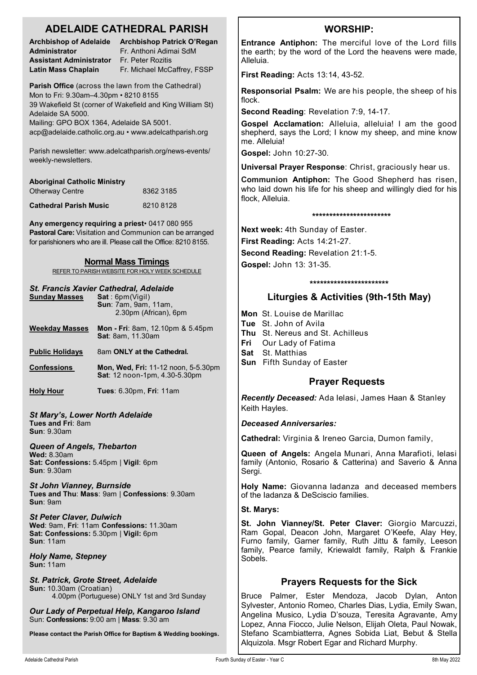# **ADELAIDE CATHEDRAL PARISH**

**Administrator Fr. Anthoni Adimai SdM Assistant Administrator** Fr. Peter Rozitis

**Archbishop of Adelaide Archbishop Patrick O'Regan Latin Mass Chaplain** Fr. Michael McCaffrey, FSSP

**Parish Office** (across the lawn from the Cathedral) Mon to Fri: 9.30am–4.30pm • 8210 8155 39 Wakefield St (corner of Wakefield and King William St) Adelaide SA 5000.

Mailing: GPO BOX 1364, Adelaide SA 5001. acp@adelaide.catholic.org.au • www.adelcathparish.org

Parish newsletter: www.adelcathparish.org/news-events/ weekly-newsletters.

| <b>Aboriginal Catholic Ministry</b> |           |
|-------------------------------------|-----------|
| <b>Otherway Centre</b>              | 8362 3185 |
| <b>Cathedral Parish Music</b>       | 82108128  |

**Any emergency requiring a priest**• 0417 080 955 **Pastoral Care:** Visitation and Communion can be arranged for parishioners who are ill. Please call the Office: 8210 8155.

#### **Normal Mass Timings**

REFER TO PARISH WEBSITE FOR HOLY WEEK SCHEDULE

#### *St. Francis Xavier Cathedral, Adelaide*

| <b>Sunday Masses</b>                   | Sat:6pm(Vigil)<br><b>Sun: 7am. 9am. 11am.</b><br>2.30pm (African), 6pm      |  |
|----------------------------------------|-----------------------------------------------------------------------------|--|
| <b>Weekday Masses</b>                  | <b>Mon - Fri</b> : 8am, 12.10pm & 5.45pm<br><b>Sat: 8am, 11.30am</b>        |  |
| <b>Public Holidays</b>                 | 8am ONLY at the Cathedral.                                                  |  |
| <b>Confessions</b>                     | <b>Mon, Wed, Fri: 11-12 noon, 5-5.30pm</b><br>Sat: 12 noon-1pm, 4.30-5.30pm |  |
| <b>Holy Hour</b>                       | <b>Tues: 6.30pm, Fri: 11am</b>                                              |  |
| <b>St Mary's, Lower North Adelaide</b> |                                                                             |  |

**Tues and Fri**: 8am **Sun**: 9.30am

*Queen of Angels, Thebarton*

**Wed:** 8.30am **Sat: Confessions:** 5.45pm | **Vigil**: 6pm **Sun**: 9.30am

*St John Vianney, Burnside* **Tues and Thu**: **Mass**: 9am | **Confessions**: 9.30am **Sun**: 9am

*St Peter Claver, Dulwich* **Wed**: 9am, **Fri**: 11am **Confessions:** 11.30am **Sat: Confessions:** 5.30pm | **Vigil:** 6pm **Sun**: 11am

*Holy Name, Stepney* **Sun:** 11am

*St. Patrick, Grote Street, Adelaide* **Sun:** 10.30am (Croatian) 4.00pm (Portuguese) ONLY 1st and 3rd Sunday

*Our Lady of Perpetual Help, Kangaroo Island* Sun: **Confessions:** 9:00 am | **Mass**: 9.30 am

**Please contact the Parish Office for Baptism & Wedding bookings.**

# **WORSHIP:**

**Entrance Antiphon:** The merciful love of the Lord fills the earth; by the word of the Lord the heavens were made, Alleluia.

**First Reading:** Acts 13:14, 43-52.

**Responsorial Psalm:** We are his people, the sheep of his flock.

**Second Reading**: Revelation 7:9, 14-17.

**Gospel Acclamation:** Alleluia, alleluia! I am the good shepherd, says the Lord; I know my sheep, and mine know me. Alleluia!

**Gospel:** John 10:27-30.

**Universal Prayer Response**: Christ, graciously hear us.

**Communion Antiphon:** The Good Shepherd has risen, who laid down his life for his sheep and willingly died for his flock, Alleluia.

#### **\*\*\*\*\*\*\*\*\*\*\*\*\*\*\*\*\*\*\*\*\*\*\***

**Next week:** 4th Sunday of Easter. **First Reading:** Acts 14:21-27. **Second Reading:** Revelation 21:1-5. **Gospel:** John 13: 31-35.

**\*\*\*\*\*\*\*\*\*\*\*\*\*\*\*\*\*\*\*\*\*\*\***

# **Liturgies & Activities (9th-15th May)**

- **Mon** St. Louise de Marillac
- **Tue** St. John of Avila
- **Thu** St. Nereus and St. Achilleus
- **Fri** Our Lady of Fatima
- **Sat** St. Matthias
- **Sun** Fifth Sunday of Easter

# **Prayer Requests**

*Recently Deceased:* Ada Ielasi, James Haan & Stanley Keith Hayles.

*Deceased Anniversaries:* 

**Cathedral:** Virginia & Ireneo Garcia, Dumon family,

**Queen of Angels:** Angela Munari, Anna Marafioti, Ielasi family (Antonio, Rosario & Catterina) and Saverio & Anna Sergi.

**Holy Name:** Giovanna Iadanza and deceased members of the Iadanza & DeSciscio families.

#### **St. Marys:**

**St. John Vianney/St. Peter Claver:** Giorgio Marcuzzi, Ram Gopal, Deacon John, Margaret O'Keefe, Alay Hey, Furno family, Garner family, Ruth Jittu & family, Leeson family, Pearce family, Kriewaldt family, Ralph & Frankie Sobels.

# **Prayers Requests for the Sick**

Bruce Palmer, Ester Mendoza, Jacob Dylan, Anton Sylvester, Antonio Romeo, Charles Dias, Lydia, Emily Swan, Angelina Musico, Lydia D'souza, Teresita Agravante, Amy Lopez, Anna Fiocco, Julie Nelson, Elijah Oleta, Paul Nowak, Stefano Scambiatterra, Agnes Sobida Liat, Bebut & Stella Alquizola. Msgr Robert Egar and Richard Murphy.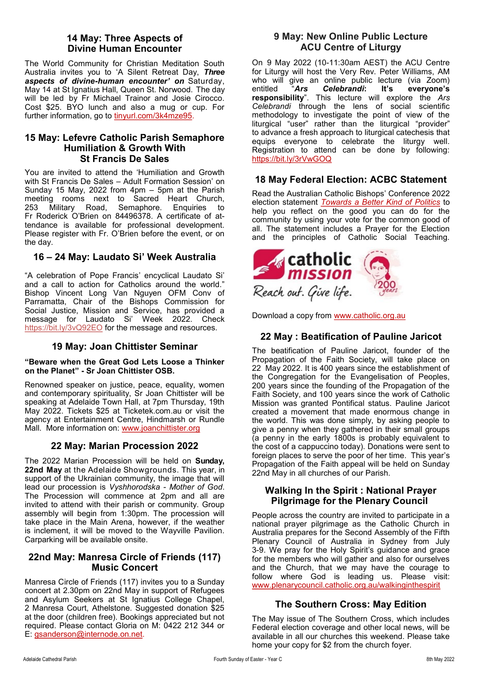# **14 May: Three Aspects of Divine Human Encounter**

The World Community for Christian Meditation South Australia invites you to 'A Silent Retreat Day, *Three aspects of divine-human encounter' on* Saturday, May 14 at St Ignatius Hall, Queen St. Norwood. The day will be led by Fr Michael Trainor and Josie Cirocco. Cost \$25. BYO lunch and also a mug or cup. For further information, go to tinyurl.com/3k4mze95.

## **15 May: Lefevre Catholic Parish Semaphore Humiliation & Growth With St Francis De Sales**

You are invited to attend the 'Humiliation and Growth with St Francis De Sales – Adult Formation Session' on Sunday 15 May, 2022 from 4pm – 5pm at the Parish meeting rooms next to Sacred Heart Church, 253 Military Road, Semaphore. Enquiries to Fr Roderick O'Brien on 84496378. A certificate of attendance is available for professional development. Please register with Fr. O'Brien before the event, or on the day.

# **16 – 24 May: Laudato Si' Week Australia**

"A celebration of Pope Francis' encyclical Laudato Si' and a call to action for Catholics around the world." Bishop Vincent Long Van Nguyen OFM Conv of Parramatta, Chair of the Bishops Commission for Social Justice, Mission and Service, has provided a message for Laudato Si' Week 2022. Check https://bit.ly/3vQ92EO for the message and resources.

## **19 May: Joan Chittister Seminar**

#### **"Beware when the Great God Lets Loose a Thinker on the Planet" - Sr Joan Chittister OSB.**

Renowned speaker on justice, peace, equality, women and contemporary spirituality, Sr Joan Chittister will be speaking at Adelaide Town Hall, at 7pm Thursday, 19th May 2022. Tickets \$25 at Ticketek.com.au or visit the agency at Entertainment Centre, Hindmarsh or Rundle Mall. More information on: [www.joanchittister.org](Joan%20Chittister%20Seminar)

# **22 May: Marian Procession 2022**

The 2022 Marian Procession will be held on **Sunday, 22nd May** at the Adelaide Showgrounds. This year, in support of the Ukrainian community, the image that will lead our procession is *Vyshhorodska - Mother of God*. The Procession will commence at 2pm and all are invited to attend with their parish or community. Group assembly will begin from 1:30pm. The procession will take place in the Main Arena, however, if the weather is inclement, it will be moved to the Wayville Pavilion. Carparking will be available onsite.

## **22nd May: Manresa Circle of Friends (117) Music Concert**

Manresa Circle of Friends (117) invites you to a Sunday concert at 2.30pm on 22nd May in support of Refugees and Asylum Seekers at St Ignatius College Chapel, 2 Manresa Court, Athelstone. Suggested donation \$25 at the door (children free). Bookings appreciated but not required. Please contact Gloria on M: 0422 212 344 or E: [gsanderson@internode.on.net.](mailto:gsanderson@internode.on.net) 

## **9 May: New Online Public Lecture ACU Centre of Liturgy**

On 9 May 2022 (10-11:30am AEST) the ACU Centre for Liturgy will host the Very Rev. Peter Williams, AM who will give an online public lecture (via Zoom) entitled "*Ars Celebrandi***: It's everyone's responsibility**". This lecture will explore the *Ars Celebrandi* through the lens of social scientific methodology to investigate the point of view of the liturgical "user" rather than the liturgical "provider" to advance a fresh approach to liturgical catechesis that equips everyone to celebrate the liturgy well. Registration to attend can be done by following: https://bit.ly/3rVwGOQ

# **18 May Federal Election: ACBC Statement**

Read the Australian Catholic Bishops' Conference 2022 election statement *[Towards a Better Kind of Politics](https://adelaide.catholic.org.au/__files/f/123242/6.Towards%20a%20Better%20Kind%20of%20Politics%20FINAL.pdf)* to help you reflect on the good you can do for the community by using your vote for the common good of all. The statement includes a Prayer for the Election and the principles of Catholic Social Teaching.



Download a copy from [www.catholic.org.au](http://www.catholic.org.au)

# **22 May : Beatification of Pauline Jaricot**

The beatification of Pauline Jaricot, founder of the Propagation of the Faith Society, will take place on 22 May 2022. It is 400 years since the establishment of the Congregation for the Evangelisation of Peoples, 200 years since the founding of the Propagation of the Faith Society, and 100 years since the work of Catholic Mission was granted Pontifical status. Pauline Jaricot created a movement that made enormous change in the world. This was done simply, by asking people to give a penny when they gathered in their small groups (a penny in the early 1800s is probably equivalent to the cost of a cappuccino today). Donations were sent to foreign places to serve the poor of her time. This year's Propagation of the Faith appeal will be held on Sunday 22nd May in all churches of our Parish.

### **Walking In the Spirit : National Prayer Pilgrimage for the Plenary Council**

People across the country are invited to participate in a national prayer pilgrimage as the Catholic Church in Australia prepares for the Second Assembly of the Fifth Plenary Council of Australia in Sydney from July 3-9. We pray for the Holy Spirit's guidance and grace for the members who will gather and also for ourselves and the Church, that we may have the courage to follow where God is leading us. Please visit: [www.plenarycouncil.catholic.org.au/walkinginthespirit](http://www.plenarycouncil.catholic.org.au/walkinginthespirit)

# **The Southern Cross: May Edition**

The May issue of The Southern Cross, which includes Federal election coverage and other local news, will be available in all our churches this weekend. Please take home your copy for \$2 from the church foyer.